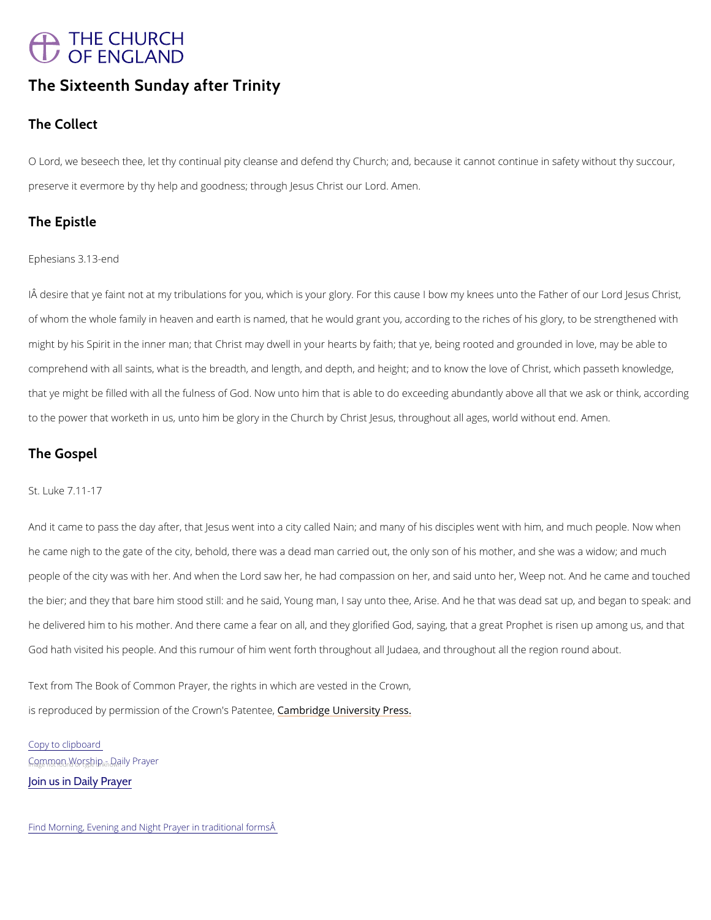# THE CHURCH<br>OF ENGLAND

# The Sixteenth Sunday after Trinity

The Collect

O Lord we beseech thee, let thy continual pity cleanse and defend thy Church; and, because it preserve it evermore by thy help and goodness; thArmonegh Jesus Christ our Lord.

The Epistle

Ephesians 3.13-end

IÂdesirtehat ye faint not at my tribulations for you, which is your glory. For this cause I bow m of whom the whole family in heaven and earth is named, that he would grant you, according t might by his Spirit in the inner man; that Christ may dwell in your hearts by faith; that ye, b comprehend with all saints, what is the breadth, and length, and depth, and height; and to kn that ye might be filled with all the fulness of God. Now unto him that is able to do exceeding to the power that worketh in us, unto him be glory in the Church by Christ Jesus, throughout

The Gospel

St. Luke 7.11-17

And it came to pass the day after, that Jesus went into a city called Nain; and many of his dis he came nigh to the gate of the city, behold, there was a dead man carried out, the only son people of the city was with her. And when the Lord saw her, he had compassion on her, and : the bier; and they that bare him stood still: and he said, Young man, I say unto thee, Arise. he delivered him to his mother. And there came a fear on all, and they glorified God, saying, God hath visited his people. And this rumour of him went forth throughout all Judaea, and th

Text from The Book of Common Prayer, the rights in which are vested in the Crown,

is reproduced by permission of the  $C$   $\mathcal C$  modwind ge P behavior and  $\mathcal C$  Press.

Copy to clipboard

 $G_{n}$   $Q_{n}$  mean  $W_{n}$   $Q_{n}$   $S_{n}$   $D_{n}$   $D_{n}$   $D_{n}$   $P_{n}$  ily Prayer

[Join us in Daily Prayer](https://www.churchofengland.org/prayer-and-worship/join-us-in-daily-prayer)

Find Morning, Evening and Night Prayer in traditional forms